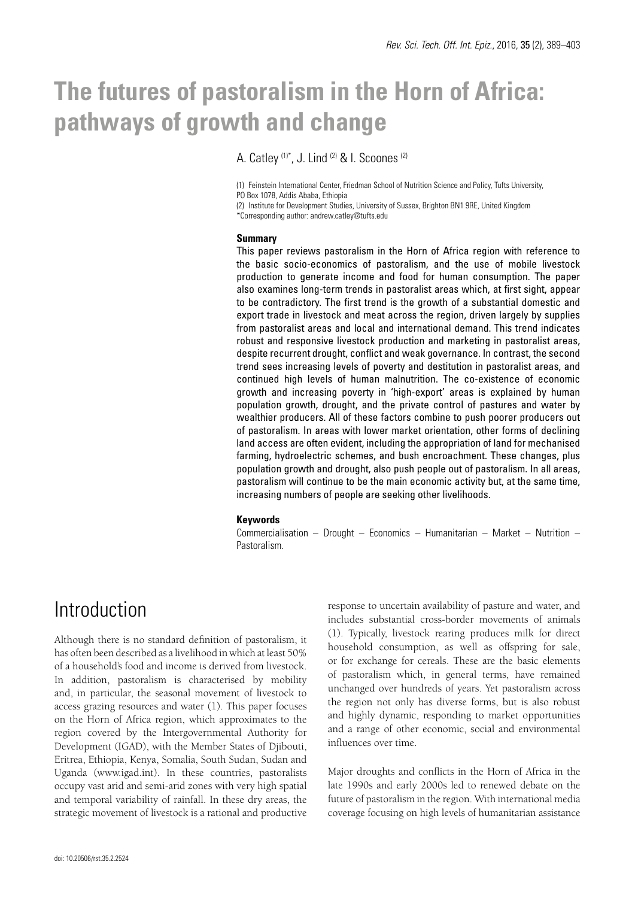# **The futures of pastoralism in the Horn of Africa: pathways of growth and change**

A. Catley (1)\*, J. Lind (2) & I. Scoones (2)

(1) Feinstein International Center, Friedman School of Nutrition Science and Policy, Tufts University, PO Box 1078, Addis Ababa, Ethiopia

(2) Institute for Development Studies, University of Sussex, Brighton BN1 9RE, United Kingdom

\*Corresponding author: andrew.catley@tufts.edu

### **Summary**

This paper reviews pastoralism in the Horn of Africa region with reference to the basic socio-economics of pastoralism, and the use of mobile livestock production to generate income and food for human consumption. The paper also examines long-term trends in pastoralist areas which, at first sight, appear to be contradictory. The first trend is the growth of a substantial domestic and export trade in livestock and meat across the region, driven largely by supplies from pastoralist areas and local and international demand. This trend indicates robust and responsive livestock production and marketing in pastoralist areas, despite recurrent drought, conflict and weak governance. In contrast, the second trend sees increasing levels of poverty and destitution in pastoralist areas, and continued high levels of human malnutrition. The co-existence of economic growth and increasing poverty in 'high-export' areas is explained by human population growth, drought, and the private control of pastures and water by wealthier producers. All of these factors combine to push poorer producers out of pastoralism. In areas with lower market orientation, other forms of declining land access are often evident, including the appropriation of land for mechanised farming, hydroelectric schemes, and bush encroachment. These changes, plus population growth and drought, also push people out of pastoralism. In all areas, pastoralism will continue to be the main economic activity but, at the same time, increasing numbers of people are seeking other livelihoods.

### **Keywords**

Commercialisation – Drought – Economics – Humanitarian – Market – Nutrition – Pastoralism.

> response to uncertain availability of pasture and water, and includes substantial cross-border movements of animals (1). Typically, livestock rearing produces milk for direct household consumption, as well as offspring for sale, or for exchange for cereals. These are the basic elements of pastoralism which, in general terms, have remained unchanged over hundreds of years. Yet pastoralism across the region not only has diverse forms, but is also robust and highly dynamic, responding to market opportunities and a range of other economic, social and environmental

# Introduction

Although there is no standard definition of pastoralism, it has often been described as a livelihood in which at least 50% of a household's food and income is derived from livestock. In addition, pastoralism is characterised by mobility and, in particular, the seasonal movement of livestock to access grazing resources and water (1). This paper focuses on the Horn of Africa region, which approximates to the region covered by the Intergovernmental Authority for Development (IGAD), with the Member States of Djibouti, Eritrea, Ethiopia, Kenya, Somalia, South Sudan, Sudan and Uganda (www.igad.int). In these countries, pastoralists occupy vast arid and semi-arid zones with very high spatial and temporal variability of rainfall. In these dry areas, the strategic movement of livestock is a rational and productive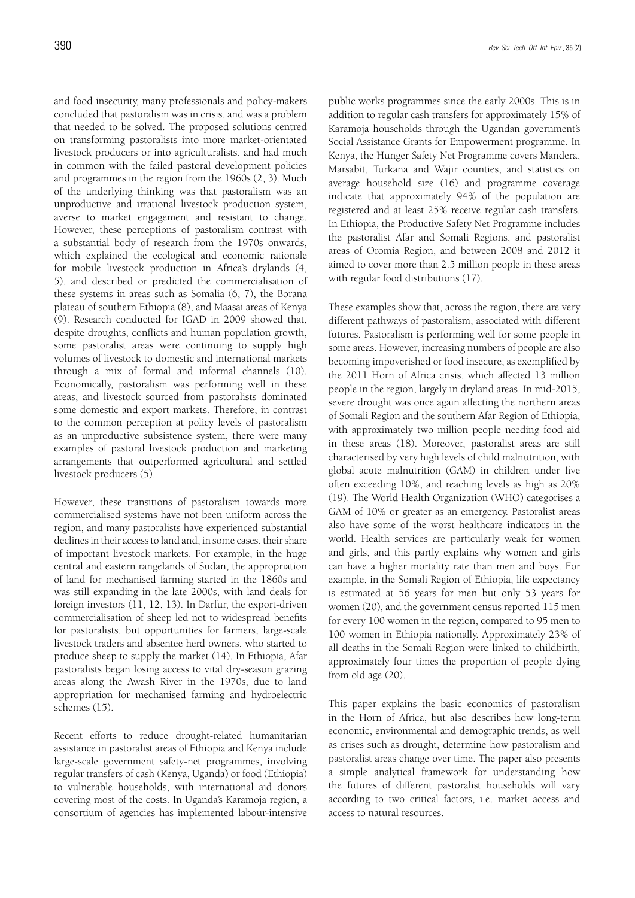and food insecurity, many professionals and policy-makers concluded that pastoralism was in crisis, and was a problem that needed to be solved. The proposed solutions centred on transforming pastoralists into more market-orientated livestock producers or into agriculturalists, and had much in common with the failed pastoral development policies and programmes in the region from the 1960s (2, 3). Much of the underlying thinking was that pastoralism was an unproductive and irrational livestock production system, averse to market engagement and resistant to change. However, these perceptions of pastoralism contrast with a substantial body of research from the 1970s onwards, which explained the ecological and economic rationale for mobile livestock production in Africa's drylands (4, 5), and described or predicted the commercialisation of these systems in areas such as Somalia (6, 7), the Borana plateau of southern Ethiopia (8), and Maasai areas of Kenya (9). Research conducted for IGAD in 2009 showed that, despite droughts, conflicts and human population growth, some pastoralist areas were continuing to supply high volumes of livestock to domestic and international markets through a mix of formal and informal channels (10). Economically, pastoralism was performing well in these areas, and livestock sourced from pastoralists dominated some domestic and export markets. Therefore, in contrast to the common perception at policy levels of pastoralism as an unproductive subsistence system, there were many examples of pastoral livestock production and marketing arrangements that outperformed agricultural and settled livestock producers (5).

However, these transitions of pastoralism towards more commercialised systems have not been uniform across the region, and many pastoralists have experienced substantial declines in their access to land and, in some cases, their share of important livestock markets. For example, in the huge central and eastern rangelands of Sudan, the appropriation of land for mechanised farming started in the 1860s and was still expanding in the late 2000s, with land deals for foreign investors (11, 12, 13). In Darfur, the export-driven commercialisation of sheep led not to widespread benefits for pastoralists, but opportunities for farmers, large-scale livestock traders and absentee herd owners, who started to produce sheep to supply the market (14). In Ethiopia, Afar pastoralists began losing access to vital dry-season grazing areas along the Awash River in the 1970s, due to land appropriation for mechanised farming and hydroelectric schemes (15).

Recent efforts to reduce drought-related humanitarian assistance in pastoralist areas of Ethiopia and Kenya include large-scale government safety-net programmes, involving regular transfers of cash (Kenya, Uganda) or food (Ethiopia) to vulnerable households, with international aid donors covering most of the costs. In Uganda's Karamoja region, a consortium of agencies has implemented labour-intensive

public works programmes since the early 2000s. This is in addition to regular cash transfers for approximately 15% of Karamoja households through the Ugandan government's Social Assistance Grants for Empowerment programme. In Kenya, the Hunger Safety Net Programme covers Mandera, Marsabit, Turkana and Wajir counties, and statistics on average household size (16) and programme coverage indicate that approximately 94% of the population are registered and at least 25% receive regular cash transfers. In Ethiopia, the Productive Safety Net Programme includes the pastoralist Afar and Somali Regions, and pastoralist areas of Oromia Region, and between 2008 and 2012 it aimed to cover more than 2.5 million people in these areas with regular food distributions (17).

These examples show that, across the region, there are very different pathways of pastoralism, associated with different futures. Pastoralism is performing well for some people in some areas. However, increasing numbers of people are also becoming impoverished or food insecure, as exemplified by the 2011 Horn of Africa crisis, which affected 13 million people in the region, largely in dryland areas. In mid-2015, severe drought was once again affecting the northern areas of Somali Region and the southern Afar Region of Ethiopia, with approximately two million people needing food aid in these areas (18). Moreover, pastoralist areas are still characterised by very high levels of child malnutrition, with global acute malnutrition (GAM) in children under five often exceeding 10%, and reaching levels as high as 20% (19). The World Health Organization (WHO) categorises a GAM of 10% or greater as an emergency. Pastoralist areas also have some of the worst healthcare indicators in the world. Health services are particularly weak for women and girls, and this partly explains why women and girls can have a higher mortality rate than men and boys. For example, in the Somali Region of Ethiopia, life expectancy is estimated at 56 years for men but only 53 years for women (20), and the government census reported 115 men for every 100 women in the region, compared to 95 men to 100 women in Ethiopia nationally. Approximately 23% of all deaths in the Somali Region were linked to childbirth, approximately four times the proportion of people dying from old age (20).

This paper explains the basic economics of pastoralism in the Horn of Africa, but also describes how long-term economic, environmental and demographic trends, as well as crises such as drought, determine how pastoralism and pastoralist areas change over time. The paper also presents a simple analytical framework for understanding how the futures of different pastoralist households will vary according to two critical factors, i.e. market access and access to natural resources.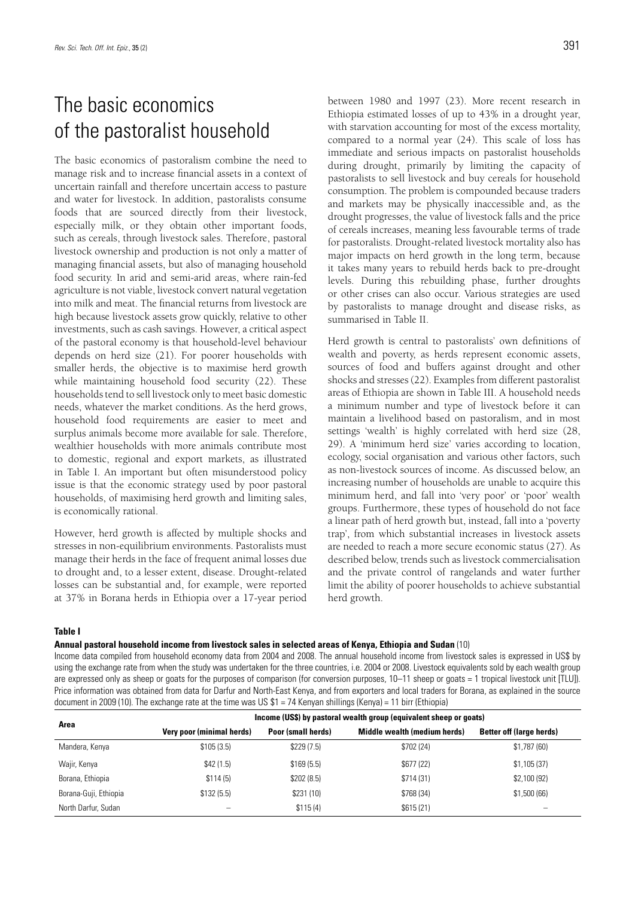# The basic economics of the pastoralist household

The basic economics of pastoralism combine the need to manage risk and to increase financial assets in a context of uncertain rainfall and therefore uncertain access to pasture and water for livestock. In addition, pastoralists consume foods that are sourced directly from their livestock, especially milk, or they obtain other important foods, such as cereals, through livestock sales. Therefore, pastoral livestock ownership and production is not only a matter of managing financial assets, but also of managing household food security. In arid and semi-arid areas, where rain-fed agriculture is not viable, livestock convert natural vegetation into milk and meat. The financial returns from livestock are high because livestock assets grow quickly, relative to other investments, such as cash savings. However, a critical aspect of the pastoral economy is that household-level behaviour depends on herd size (21). For poorer households with smaller herds, the objective is to maximise herd growth while maintaining household food security (22). These households tend to sell livestock only to meet basic domestic needs, whatever the market conditions. As the herd grows, household food requirements are easier to meet and surplus animals become more available for sale. Therefore, wealthier households with more animals contribute most to domestic, regional and export markets, as illustrated in Table I. An important but often misunderstood policy issue is that the economic strategy used by poor pastoral households, of maximising herd growth and limiting sales, is economically rational.

However, herd growth is affected by multiple shocks and stresses in non-equilibrium environments. Pastoralists must manage their herds in the face of frequent animal losses due to drought and, to a lesser extent, disease. Drought-related losses can be substantial and, for example, were reported at 37% in Borana herds in Ethiopia over a 17-year period between 1980 and 1997 (23). More recent research in Ethiopia estimated losses of up to 43% in a drought year, with starvation accounting for most of the excess mortality, compared to a normal year (24). This scale of loss has immediate and serious impacts on pastoralist households during drought, primarily by limiting the capacity of pastoralists to sell livestock and buy cereals for household consumption. The problem is compounded because traders and markets may be physically inaccessible and, as the drought progresses, the value of livestock falls and the price of cereals increases, meaning less favourable terms of trade for pastoralists. Drought-related livestock mortality also has major impacts on herd growth in the long term, because it takes many years to rebuild herds back to pre-drought levels. During this rebuilding phase, further droughts or other crises can also occur. Various strategies are used by pastoralists to manage drought and disease risks, as summarised in Table II.

Herd growth is central to pastoralists' own definitions of wealth and poverty, as herds represent economic assets, sources of food and buffers against drought and other shocks and stresses (22). Examples from different pastoralist areas of Ethiopia are shown in Table III. A household needs a minimum number and type of livestock before it can maintain a livelihood based on pastoralism, and in most settings 'wealth' is highly correlated with herd size (28, 29). A 'minimum herd size' varies according to location, ecology, social organisation and various other factors, such as non-livestock sources of income. As discussed below, an increasing number of households are unable to acquire this minimum herd, and fall into 'very poor' or 'poor' wealth groups. Furthermore, these types of household do not face a linear path of herd growth but, instead, fall into a 'poverty trap', from which substantial increases in livestock assets are needed to reach a more secure economic status (27). As described below, trends such as livestock commercialisation and the private control of rangelands and water further limit the ability of poorer households to achieve substantial herd growth.

### **Table I**

**Annual pastoral household income from livestock sales in selected areas of Kenya, Ethiopia and Sudan** (10)

Income data compiled from household economy data from 2004 and 2008. The annual household income from livestock sales is expressed in US\$ by using the exchange rate from when the study was undertaken for the three countries, i.e. 2004 or 2008. Livestock equivalents sold by each wealth group are expressed only as sheep or goats for the purposes of comparison (for conversion purposes, 10–11 sheep or goats = 1 tropical livestock unit [TLU]). Price information was obtained from data for Darfur and North-East Kenya, and from exporters and local traders for Borana, as explained in the source document in 2009 (10). The exchange rate at the time was US \$1 = 74 Kenyan shillings (Kenya) = 11 birr (Ethiopia)

| Area                  | Income (US\$) by pastoral wealth group (equivalent sheep or goats) |                    |                              |                                 |  |  |
|-----------------------|--------------------------------------------------------------------|--------------------|------------------------------|---------------------------------|--|--|
|                       | Very poor (minimal herds)                                          | Poor (small herds) | Middle wealth (medium herds) | <b>Better off (large herds)</b> |  |  |
| Mandera, Kenya        | \$105(3.5)                                                         | \$229(7.5)         | \$702(24)                    | \$1,787(60)                     |  |  |
| Wajir, Kenya          | \$42(1.5)                                                          | \$169(5.5)         | \$677(22)                    | \$1,105(37)                     |  |  |
| Borana, Ethiopia      | \$114(5)                                                           | \$202(8.5)         | \$714(31)                    | \$2,100(92)                     |  |  |
| Borana-Guji, Ethiopia | \$132(5.5)                                                         | \$231(10)          | \$768(34)                    | \$1,500(66)                     |  |  |
| North Darfur, Sudan   |                                                                    | \$115(4)           | \$615(21)                    |                                 |  |  |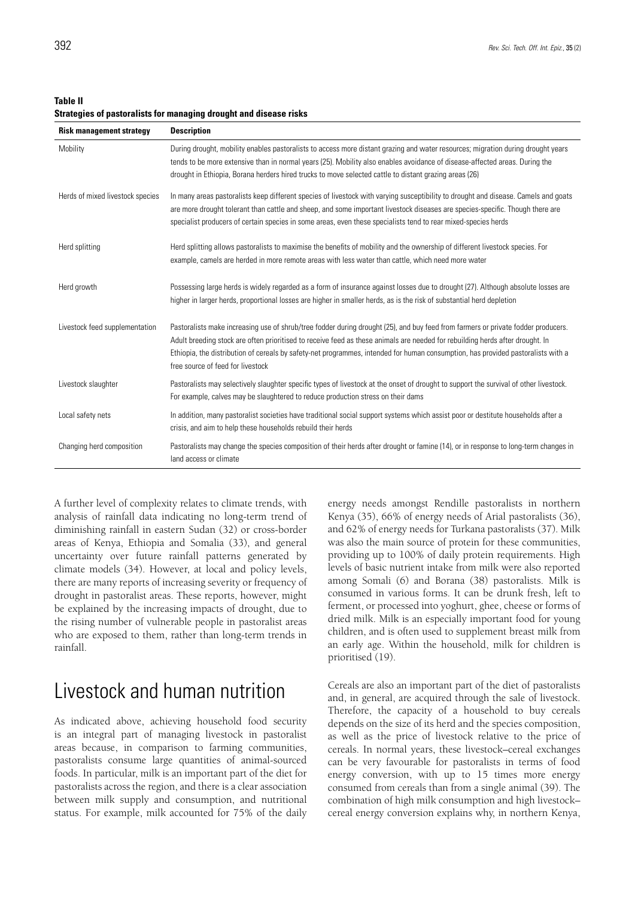**Table II**

**Strategies of pastoralists for managing drought and disease risks**

| <b>Risk management strategy</b>  | <b>Description</b>                                                                                                                                                                                                                                                                                                                                                                                                                          |
|----------------------------------|---------------------------------------------------------------------------------------------------------------------------------------------------------------------------------------------------------------------------------------------------------------------------------------------------------------------------------------------------------------------------------------------------------------------------------------------|
| Mobility                         | During drought, mobility enables pastoralists to access more distant grazing and water resources; migration during drought years<br>tends to be more extensive than in normal years (25). Mobility also enables avoidance of disease-affected areas. During the<br>drought in Ethiopia, Borana herders hired trucks to move selected cattle to distant grazing areas (26)                                                                   |
| Herds of mixed livestock species | In many areas pastoralists keep different species of livestock with varying susceptibility to drought and disease. Camels and goats<br>are more drought tolerant than cattle and sheep, and some important livestock diseases are species-specific. Though there are<br>specialist producers of certain species in some areas, even these specialists tend to rear mixed-species herds                                                      |
| Herd splitting                   | Herd splitting allows pastoralists to maximise the benefits of mobility and the ownership of different livestock species. For<br>example, camels are herded in more remote areas with less water than cattle, which need more water                                                                                                                                                                                                         |
| Herd growth                      | Possessing large herds is widely regarded as a form of insurance against losses due to drought (27). Although absolute losses are<br>higher in larger herds, proportional losses are higher in smaller herds, as is the risk of substantial herd depletion                                                                                                                                                                                  |
| Livestock feed supplementation   | Pastoralists make increasing use of shrub/tree fodder during drought (25), and buy feed from farmers or private fodder producers.<br>Adult breeding stock are often prioritised to receive feed as these animals are needed for rebuilding herds after drought. In<br>Ethiopia, the distribution of cereals by safety-net programmes, intended for human consumption, has provided pastoralists with a<br>free source of feed for livestock |
| Livestock slaughter              | Pastoralists may selectively slaughter specific types of livestock at the onset of drought to support the survival of other livestock.<br>For example, calves may be slaughtered to reduce production stress on their dams                                                                                                                                                                                                                  |
| Local safety nets                | In addition, many pastoralist societies have traditional social support systems which assist poor or destitute households after a<br>crisis, and aim to help these households rebuild their herds                                                                                                                                                                                                                                           |
| Changing herd composition        | Pastoralists may change the species composition of their herds after drought or famine (14), or in response to long-term changes in<br>land access or climate                                                                                                                                                                                                                                                                               |

A further level of complexity relates to climate trends, with analysis of rainfall data indicating no long-term trend of diminishing rainfall in eastern Sudan (32) or cross-border areas of Kenya, Ethiopia and Somalia (33), and general uncertainty over future rainfall patterns generated by climate models (34). However, at local and policy levels, there are many reports of increasing severity or frequency of drought in pastoralist areas. These reports, however, might be explained by the increasing impacts of drought, due to the rising number of vulnerable people in pastoralist areas who are exposed to them, rather than long-term trends in rainfall.

### Livestock and human nutrition

As indicated above, achieving household food security is an integral part of managing livestock in pastoralist areas because, in comparison to farming communities, pastoralists consume large quantities of animal-sourced foods. In particular, milk is an important part of the diet for pastoralists across the region, and there is a clear association between milk supply and consumption, and nutritional status. For example, milk accounted for 75% of the daily energy needs amongst Rendille pastoralists in northern Kenya (35), 66% of energy needs of Arial pastoralists (36), and 62% of energy needs for Turkana pastoralists (37). Milk was also the main source of protein for these communities, providing up to 100% of daily protein requirements. High levels of basic nutrient intake from milk were also reported among Somali (6) and Borana (38) pastoralists. Milk is consumed in various forms. It can be drunk fresh, left to ferment, or processed into yoghurt, ghee, cheese or forms of dried milk. Milk is an especially important food for young children, and is often used to supplement breast milk from an early age. Within the household, milk for children is prioritised (19).

Cereals are also an important part of the diet of pastoralists and, in general, are acquired through the sale of livestock. Therefore, the capacity of a household to buy cereals depends on the size of its herd and the species composition, as well as the price of livestock relative to the price of cereals. In normal years, these livestock–cereal exchanges can be very favourable for pastoralists in terms of food energy conversion, with up to 15 times more energy consumed from cereals than from a single animal (39). The combination of high milk consumption and high livestock– cereal energy conversion explains why, in northern Kenya,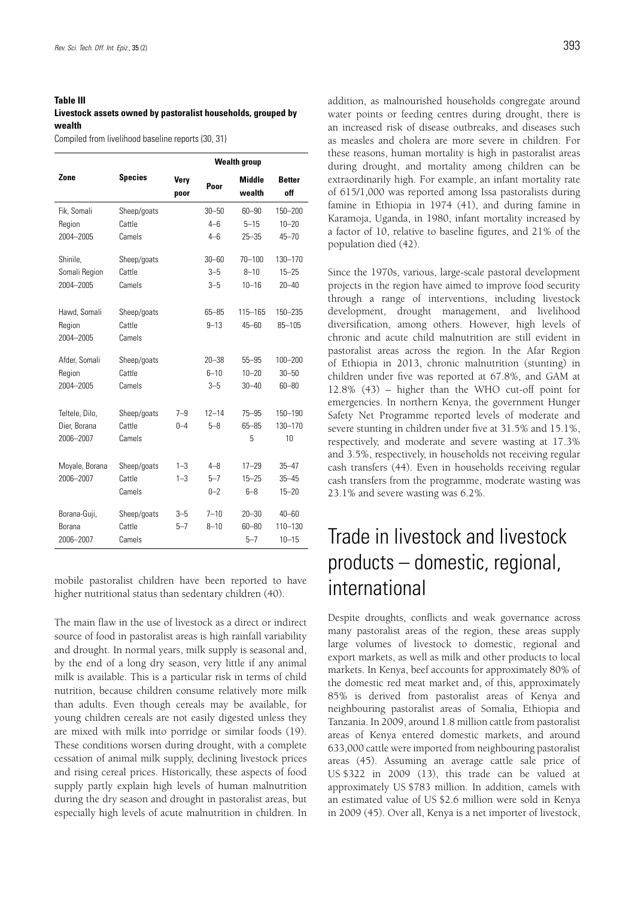### **Table III**

### **Livestock assets owned by pastoralist households, grouped by wealth**

Compiled from livelihood baseline reports (30, 31)

|                |                | <b>Wealth group</b> |           |                         |                      |
|----------------|----------------|---------------------|-----------|-------------------------|----------------------|
| Zone           | <b>Species</b> | Very<br>poor        | Poor      | <b>Middle</b><br>wealth | <b>Better</b><br>off |
| Fik, Somali    | Sheep/goats    |                     | $30 - 50$ | $60 - 90$               | 150-200              |
| Region         | Cattle         |                     | $4 - 6$   | $5 - 15$                | $10 - 20$            |
| 2004-2005      | Camels         |                     | $4 - 6$   | $25 - 35$               | $45 - 70$            |
| Shinile,       | Sheep/goats    |                     | $30 - 60$ | $70 - 100$              | 130-170              |
| Somali Region  | Cattle         |                     | $3 - 5$   | $8 - 10$                | $15 - 25$            |
| 2004-2005      | Camels         |                     | $3 - 5$   | $10 - 16$               | $20 - 40$            |
| Hawd, Somali   | Sheep/goats    |                     | $65 - 85$ | 115-165                 | 150-235              |
| Region         | Cattle         |                     | $9 - 13$  | $45 - 60$               | $85 - 105$           |
| 2004-2005      | Camels         |                     |           |                         |                      |
| Afder, Somali  | Sheep/goats    |                     | $20 - 38$ | $55 - 95$               | $100 - 200$          |
| Region         | Cattle         |                     | $6 - 10$  | $10 - 20$               | $30 - 50$            |
| 2004-2005      | Camels         |                     | $3 - 5$   | $30 - 40$               | $60 - 80$            |
| Teltele, Dilo, | Sheep/goats    | $7 - 9$             | $12 - 14$ | $75 - 95$               | 150-190              |
| Dier, Borana   | Cattle         | $0 - 4$             | $5 - 8$   | $65 - 85$               | 130-170              |
| 2006-2007      | Camels         |                     |           | 5                       | 10                   |
| Moyale, Borana | Sheep/goats    | $1 - 3$             | $4 - 8$   | $17 - 29$               | $35 - 47$            |
| 2006-2007      | Cattle         | $1 - 3$             | $5 - 7$   | $15 - 25$               | $35 - 45$            |
|                | Camels         |                     | $0 - 2$   | $6 - 8$                 | $15 - 20$            |
| Borana-Guji,   | Sheep/goats    | $3 - 5$             | $7 - 10$  | $20 - 30$               | $40 - 60$            |
| Borana         | Cattle         | $5 - 7$             | $8 - 10$  | $60 - 80$               | 110-130              |
| 2006-2007      | Camels         |                     |           | $5 - 7$                 | $10 - 15$            |

mobile pastoralist children have been reported to have higher nutritional status than sedentary children (40).

The main flaw in the use of livestock as a direct or indirect source of food in pastoralist areas is high rainfall variability and drought. In normal years, milk supply is seasonal and, by the end of a long dry season, very little if any animal milk is available. This is a particular risk in terms of child nutrition, because children consume relatively more milk than adults. Even though cereals may be available, for young children cereals are not easily digested unless they are mixed with milk into porridge or similar foods (19). These conditions worsen during drought, with a complete cessation of animal milk supply, declining livestock prices and rising cereal prices. Historically, these aspects of food supply partly explain high levels of human malnutrition during the dry season and drought in pastoralist areas, but especially high levels of acute malnutrition in children. In addition, as malnourished households congregate around water points or feeding centres during drought, there is an increased risk of disease outbreaks, and diseases such as measles and cholera are more severe in children. For these reasons, human mortality is high in pastoralist areas during drought, and mortality among children can be extraordinarily high. For example, an infant mortality rate of 615/1,000 was reported among Issa pastoralists during famine in Ethiopia in 1974 (41), and during famine in Karamoja, Uganda, in 1980, infant mortality increased by a factor of 10, relative to baseline figures, and 21% of the population died (42).

Since the 1970s, various, large-scale pastoral development projects in the region have aimed to improve food security through a range of interventions, including livestock development, drought management, and livelihood diversification, among others. However, high levels of chronic and acute child malnutrition are still evident in pastoralist areas across the region. In the Afar Region of Ethiopia in 2013, chronic malnutrition (stunting) in children under five was reported at 67.8%, and GAM at 12.8% (43) – higher than the WHO cut-off point for emergencies. In northern Kenya, the government Hunger Safety Net Programme reported levels of moderate and severe stunting in children under five at 31.5% and 15.1%, respectively, and moderate and severe wasting at 17.3% and 3.5%, respectively, in households not receiving regular cash transfers (44). Even in households receiving regular cash transfers from the programme, moderate wasting was 23.1% and severe wasting was 6.2%.

# Trade in livestock and livestock products – domestic, regional, international

Despite droughts, conflicts and weak governance across many pastoralist areas of the region, these areas supply large volumes of livestock to domestic, regional and export markets, as well as milk and other products to local markets. In Kenya, beef accounts for approximately 80% of the domestic red meat market and, of this, approximately 85% is derived from pastoralist areas of Kenya and neighbouring pastoralist areas of Somalia, Ethiopia and Tanzania. In 2009, around 1.8 million cattle from pastoralist areas of Kenya entered domestic markets, and around 633,000 cattle were imported from neighbouring pastoralist areas (45). Assuming an average cattle sale price of US \$322 in 2009 (13), this trade can be valued at approximately US \$783 million. In addition, camels with an estimated value of US \$2.6 million were sold in Kenya in 2009 (45). Over all, Kenya is a net importer of livestock,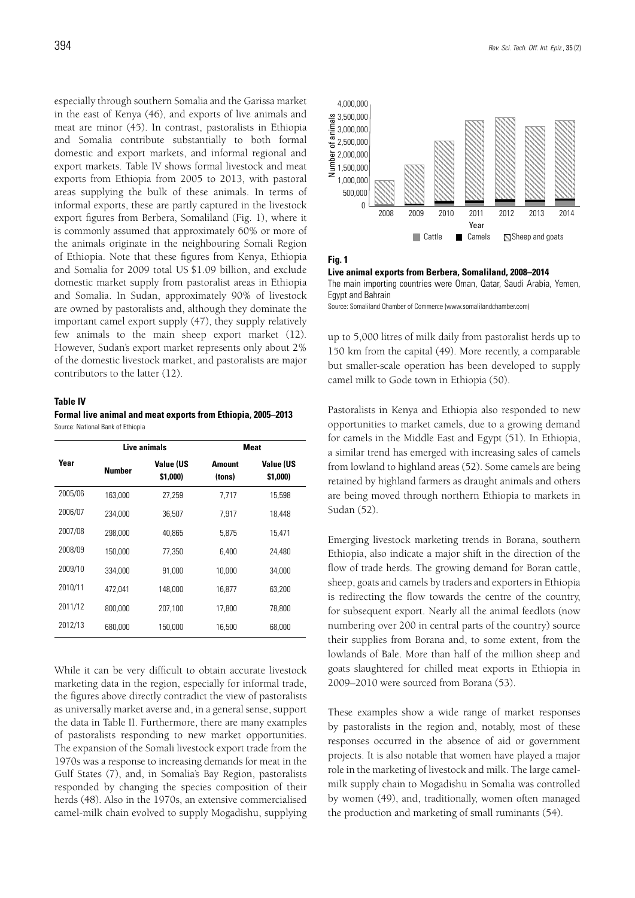especially through southern Somalia and the Garissa market in the east of Kenya (46), and exports of live animals and meat are minor (45). In contrast, pastoralists in Ethiopia and Somalia contribute substantially to both formal domestic and export markets, and informal regional and export markets. Table IV shows formal livestock and meat exports from Ethiopia from 2005 to 2013, with pastoral areas supplying the bulk of these animals. In terms of informal exports, these are partly captured in the livestock export figures from Berbera, Somaliland (Fig. 1), where it is commonly assumed that approximately 60% or more of the animals originate in the neighbouring Somali Region of Ethiopia. Note that these figures from Kenya, Ethiopia and Somalia for 2009 total US \$1.09 billion, and exclude domestic market supply from pastoralist areas in Ethiopia and Somalia. In Sudan, approximately 90% of livestock are owned by pastoralists and, although they dominate the important camel export supply (47), they supply relatively few animals to the main sheep export market (12). However, Sudan's export market represents only about 2% of the domestic livestock market, and pastoralists are major contributors to the latter (12).

### **Table IV**

**Formal live animal and meat exports from Ethiopia, 2005–2013** Source: National Bank of Ethiopia

|         |         | Live animals                 |                  | <b>Meat</b>                  |  |
|---------|---------|------------------------------|------------------|------------------------------|--|
| Year    | Number  | <b>Value (US</b><br>\$1,000) | Amount<br>(tons) | <b>Value (US</b><br>\$1,000) |  |
| 2005/06 | 163,000 | 27,259                       | 7,717            | 15,598                       |  |
| 2006/07 | 234,000 | 36,507                       | 7,917            | 18,448                       |  |
| 2007/08 | 298,000 | 40.865                       | 5,875            | 15,471                       |  |
| 2008/09 | 150,000 | 77.350                       | 6,400            | 24.480                       |  |
| 2009/10 | 334,000 | 91,000                       | 10.000           | 34,000                       |  |
| 2010/11 | 472.041 | 148.000                      | 16.877           | 63.200                       |  |
| 2011/12 | 800.000 | 207,100                      | 17,800           | 78.800                       |  |
| 2012/13 | 680,000 | 150,000                      | 16,500           | 68,000                       |  |

While it can be very difficult to obtain accurate livestock marketing data in the region, especially for informal trade, the figures above directly contradict the view of pastoralists as universally market averse and, in a general sense, support the data in Table II. Furthermore, there are many examples of pastoralists responding to new market opportunities. The expansion of the Somali livestock export trade from the 1970s was a response to increasing demands for meat in the Gulf States (7), and, in Somalia's Bay Region, pastoralists responded by changing the species composition of their herds (48). Also in the 1970s, an extensive commercialised camel-milk chain evolved to supply Mogadishu, supplying



**Fig. 1**

**Live animal exports from Berbera, Somaliland, 2008–2014** The main importing countries were Oman, Qatar, Saudi Arabia, Yemen, Egypt and Bahrain

Source: Somaliland Chamber of Commerce (www.somalilandchamber.com)

up to 5,000 litres of milk daily from pastoralist herds up to 150 km from the capital (49). More recently, a comparable but smaller-scale operation has been developed to supply camel milk to Gode town in Ethiopia (50).

Pastoralists in Kenya and Ethiopia also responded to new opportunities to market camels, due to a growing demand for camels in the Middle East and Egypt (51). In Ethiopia, a similar trend has emerged with increasing sales of camels from lowland to highland areas (52). Some camels are being retained by highland farmers as draught animals and others are being moved through northern Ethiopia to markets in Sudan (52).

Emerging livestock marketing trends in Borana, southern Ethiopia, also indicate a major shift in the direction of the flow of trade herds. The growing demand for Boran cattle, sheep, goats and camels by traders and exporters in Ethiopia is redirecting the flow towards the centre of the country, for subsequent export. Nearly all the animal feedlots (now numbering over 200 in central parts of the country) source their supplies from Borana and, to some extent, from the lowlands of Bale. More than half of the million sheep and goats slaughtered for chilled meat exports in Ethiopia in 2009–2010 were sourced from Borana (53).

These examples show a wide range of market responses by pastoralists in the region and, notably, most of these responses occurred in the absence of aid or government projects. It is also notable that women have played a major role in the marketing of livestock and milk. The large camelmilk supply chain to Mogadishu in Somalia was controlled by women (49), and, traditionally, women often managed the production and marketing of small ruminants (54).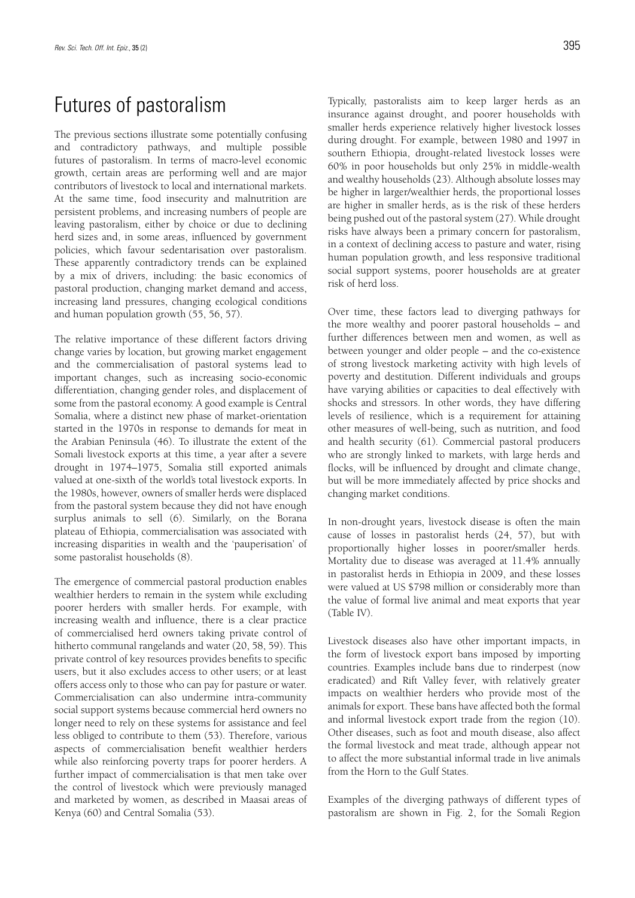# Futures of pastoralism

The previous sections illustrate some potentially confusing and contradictory pathways, and multiple possible futures of pastoralism. In terms of macro-level economic growth, certain areas are performing well and are major contributors of livestock to local and international markets. At the same time, food insecurity and malnutrition are persistent problems, and increasing numbers of people are leaving pastoralism, either by choice or due to declining herd sizes and, in some areas, influenced by government policies, which favour sedentarisation over pastoralism. These apparently contradictory trends can be explained by a mix of drivers, including: the basic economics of pastoral production, changing market demand and access, increasing land pressures, changing ecological conditions and human population growth (55, 56, 57).

The relative importance of these different factors driving change varies by location, but growing market engagement and the commercialisation of pastoral systems lead to important changes, such as increasing socio-economic differentiation, changing gender roles, and displacement of some from the pastoral economy. A good example is Central Somalia, where a distinct new phase of market-orientation started in the 1970s in response to demands for meat in the Arabian Peninsula (46). To illustrate the extent of the Somali livestock exports at this time, a year after a severe drought in 1974–1975, Somalia still exported animals valued at one-sixth of the world's total livestock exports. In the 1980s, however, owners of smaller herds were displaced from the pastoral system because they did not have enough surplus animals to sell (6). Similarly, on the Borana plateau of Ethiopia, commercialisation was associated with increasing disparities in wealth and the 'pauperisation' of some pastoralist households (8).

The emergence of commercial pastoral production enables wealthier herders to remain in the system while excluding poorer herders with smaller herds. For example, with increasing wealth and influence, there is a clear practice of commercialised herd owners taking private control of hitherto communal rangelands and water (20, 58, 59). This private control of key resources provides benefits to specific users, but it also excludes access to other users; or at least offers access only to those who can pay for pasture or water. Commercialisation can also undermine intra-community social support systems because commercial herd owners no longer need to rely on these systems for assistance and feel less obliged to contribute to them (53). Therefore, various aspects of commercialisation benefit wealthier herders while also reinforcing poverty traps for poorer herders. A further impact of commercialisation is that men take over the control of livestock which were previously managed and marketed by women, as described in Maasai areas of Kenya (60) and Central Somalia (53).

Typically, pastoralists aim to keep larger herds as an insurance against drought, and poorer households with smaller herds experience relatively higher livestock losses during drought. For example, between 1980 and 1997 in southern Ethiopia, drought-related livestock losses were 60% in poor households but only 25% in middle-wealth and wealthy households (23). Although absolute losses may be higher in larger/wealthier herds, the proportional losses are higher in smaller herds, as is the risk of these herders being pushed out of the pastoral system (27). While drought risks have always been a primary concern for pastoralism, in a context of declining access to pasture and water, rising human population growth, and less responsive traditional social support systems, poorer households are at greater risk of herd loss.

Over time, these factors lead to diverging pathways for the more wealthy and poorer pastoral households – and further differences between men and women, as well as between younger and older people – and the co-existence of strong livestock marketing activity with high levels of poverty and destitution. Different individuals and groups have varying abilities or capacities to deal effectively with shocks and stressors. In other words, they have differing levels of resilience, which is a requirement for attaining other measures of well-being, such as nutrition, and food and health security (61). Commercial pastoral producers who are strongly linked to markets, with large herds and flocks, will be influenced by drought and climate change, but will be more immediately affected by price shocks and changing market conditions.

In non-drought years, livestock disease is often the main cause of losses in pastoralist herds (24, 57), but with proportionally higher losses in poorer/smaller herds. Mortality due to disease was averaged at 11.4% annually in pastoralist herds in Ethiopia in 2009, and these losses were valued at US \$798 million or considerably more than the value of formal live animal and meat exports that year (Table IV).

Livestock diseases also have other important impacts, in the form of livestock export bans imposed by importing countries. Examples include bans due to rinderpest (now eradicated) and Rift Valley fever, with relatively greater impacts on wealthier herders who provide most of the animals for export. These bans have affected both the formal and informal livestock export trade from the region (10). Other diseases, such as foot and mouth disease, also affect the formal livestock and meat trade, although appear not to affect the more substantial informal trade in live animals from the Horn to the Gulf States.

Examples of the diverging pathways of different types of pastoralism are shown in Fig. 2, for the Somali Region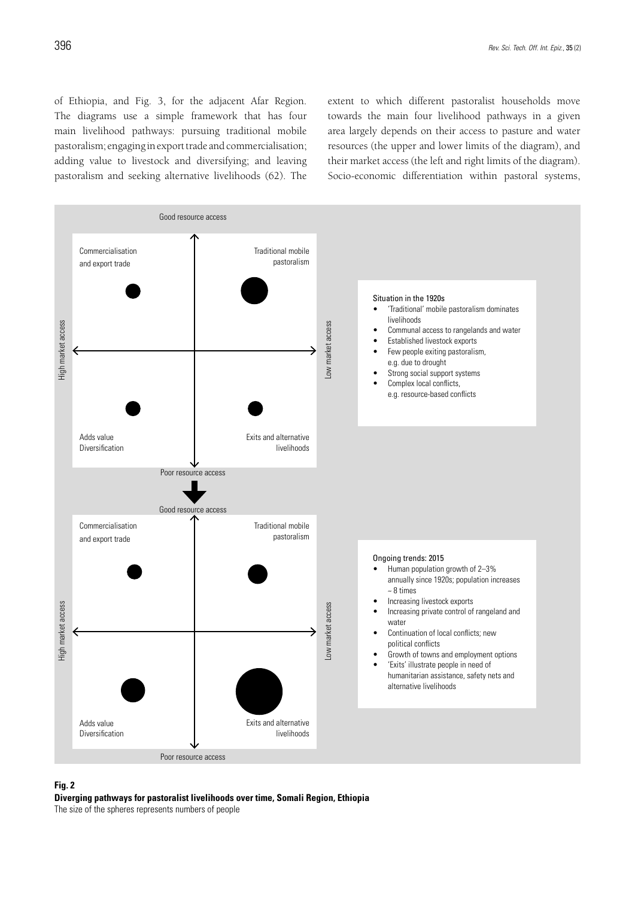of Ethiopia, and Fig. 3, for the adjacent Afar Region. The diagrams use a simple framework that has four main livelihood pathways: pursuing traditional mobile pastoralism; engaging in export trade and commercialisation; adding value to livestock and diversifying; and leaving pastoralism and seeking alternative livelihoods (62). The

extent to which different pastoralist households move towards the main four livelihood pathways in a given area largely depends on their access to pasture and water resources (the upper and lower limits of the diagram), and their market access (the left and right limits of the diagram). Socio-economic differentiation within pastoral systems,



### **Fig. 2**

**Diverging pathways for pastoralist livelihoods over time, Somali Region, Ethiopia**

The size of the spheres represents numbers of people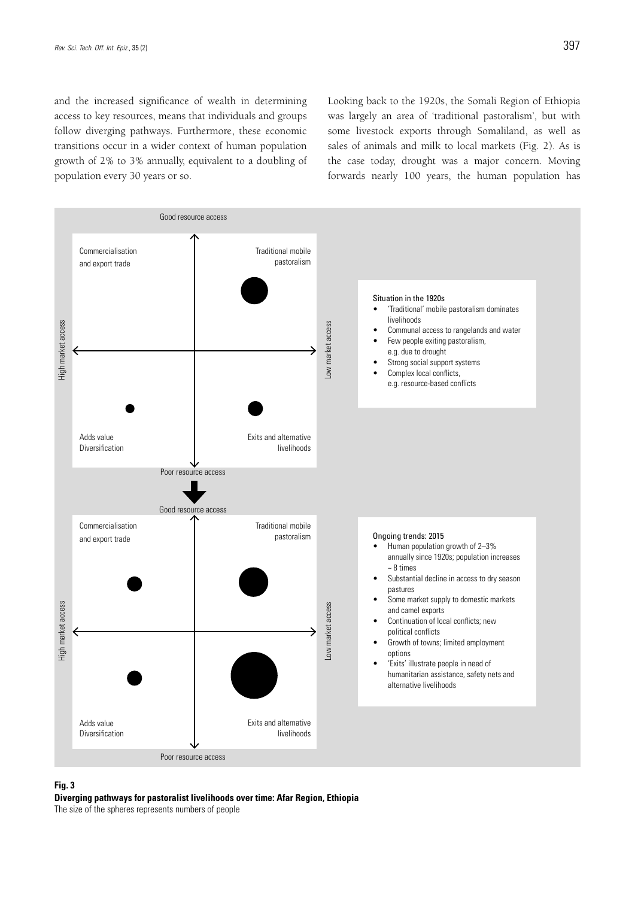and the increased significance of wealth in determining access to key resources, means that individuals and groups follow diverging pathways. Furthermore, these economic transitions occur in a wider context of human population growth of 2% to 3% annually, equivalent to a doubling of population every 30 years or so.

Looking back to the 1920s, the Somali Region of Ethiopia was largely an area of 'traditional pastoralism', but with some livestock exports through Somaliland, as well as sales of animals and milk to local markets (Fig. 2). As is the case today, drought was a major concern. Moving forwards nearly 100 years, the human population has



### **Fig. 3**

**Diverging pathways for pastoralist livelihoods over time: Afar Region, Ethiopia**

The size of the spheres represents numbers of people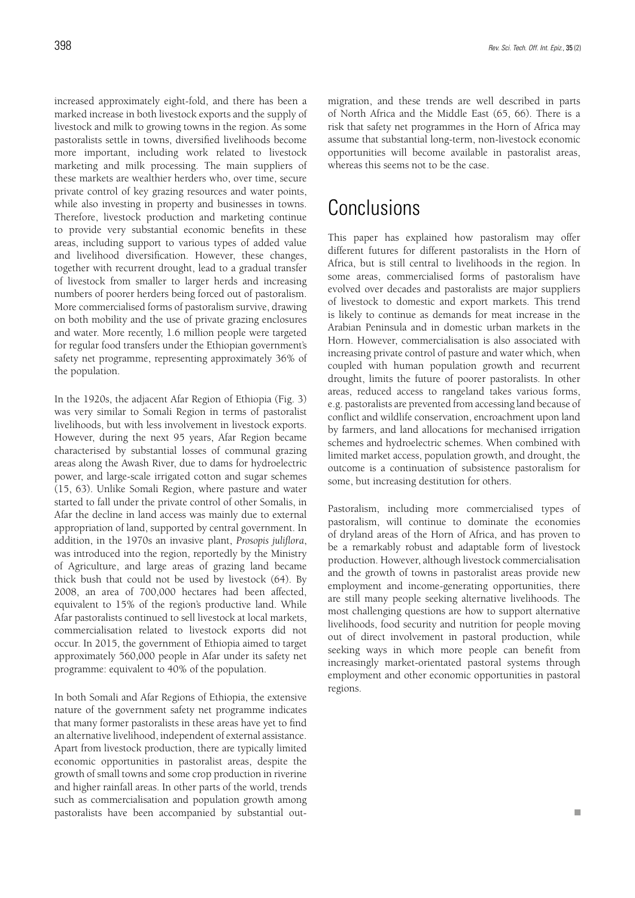increased approximately eight-fold, and there has been a marked increase in both livestock exports and the supply of livestock and milk to growing towns in the region. As some pastoralists settle in towns, diversified livelihoods become more important, including work related to livestock marketing and milk processing. The main suppliers of these markets are wealthier herders who, over time, secure private control of key grazing resources and water points, while also investing in property and businesses in towns. Therefore, livestock production and marketing continue to provide very substantial economic benefits in these areas, including support to various types of added value and livelihood diversification. However, these changes, together with recurrent drought, lead to a gradual transfer of livestock from smaller to larger herds and increasing numbers of poorer herders being forced out of pastoralism. More commercialised forms of pastoralism survive, drawing on both mobility and the use of private grazing enclosures and water. More recently, 1.6 million people were targeted for regular food transfers under the Ethiopian government's safety net programme, representing approximately 36% of the population.

In the 1920s, the adjacent Afar Region of Ethiopia (Fig. 3) was very similar to Somali Region in terms of pastoralist livelihoods, but with less involvement in livestock exports. However, during the next 95 years, Afar Region became characterised by substantial losses of communal grazing areas along the Awash River, due to dams for hydroelectric power, and large-scale irrigated cotton and sugar schemes (15, 63). Unlike Somali Region, where pasture and water started to fall under the private control of other Somalis, in Afar the decline in land access was mainly due to external appropriation of land, supported by central government. In addition, in the 1970s an invasive plant, *Prosopis juliflora*, was introduced into the region, reportedly by the Ministry of Agriculture, and large areas of grazing land became thick bush that could not be used by livestock (64). By 2008, an area of 700,000 hectares had been affected, equivalent to 15% of the region's productive land. While Afar pastoralists continued to sell livestock at local markets, commercialisation related to livestock exports did not occur. In 2015, the government of Ethiopia aimed to target approximately 560,000 people in Afar under its safety net programme: equivalent to 40% of the population.

In both Somali and Afar Regions of Ethiopia, the extensive nature of the government safety net programme indicates that many former pastoralists in these areas have yet to find an alternative livelihood, independent of external assistance. Apart from livestock production, there are typically limited economic opportunities in pastoralist areas, despite the growth of small towns and some crop production in riverine and higher rainfall areas. In other parts of the world, trends such as commercialisation and population growth among pastoralists have been accompanied by substantial outmigration, and these trends are well described in parts of North Africa and the Middle East (65, 66). There is a risk that safety net programmes in the Horn of Africa may assume that substantial long-term, non-livestock economic opportunities will become available in pastoralist areas, whereas this seems not to be the case.

# **Conclusions**

This paper has explained how pastoralism may offer different futures for different pastoralists in the Horn of Africa, but is still central to livelihoods in the region. In some areas, commercialised forms of pastoralism have evolved over decades and pastoralists are major suppliers of livestock to domestic and export markets. This trend is likely to continue as demands for meat increase in the Arabian Peninsula and in domestic urban markets in the Horn. However, commercialisation is also associated with increasing private control of pasture and water which, when coupled with human population growth and recurrent drought, limits the future of poorer pastoralists. In other areas, reduced access to rangeland takes various forms, e.g. pastoralists are prevented from accessing land because of conflict and wildlife conservation, encroachment upon land by farmers, and land allocations for mechanised irrigation schemes and hydroelectric schemes. When combined with limited market access, population growth, and drought, the outcome is a continuation of subsistence pastoralism for some, but increasing destitution for others.

Pastoralism, including more commercialised types of pastoralism, will continue to dominate the economies of dryland areas of the Horn of Africa, and has proven to be a remarkably robust and adaptable form of livestock production. However, although livestock commercialisation and the growth of towns in pastoralist areas provide new employment and income-generating opportunities, there are still many people seeking alternative livelihoods. The most challenging questions are how to support alternative livelihoods, food security and nutrition for people moving out of direct involvement in pastoral production, while seeking ways in which more people can benefit from increasingly market-orientated pastoral systems through employment and other economic opportunities in pastoral regions.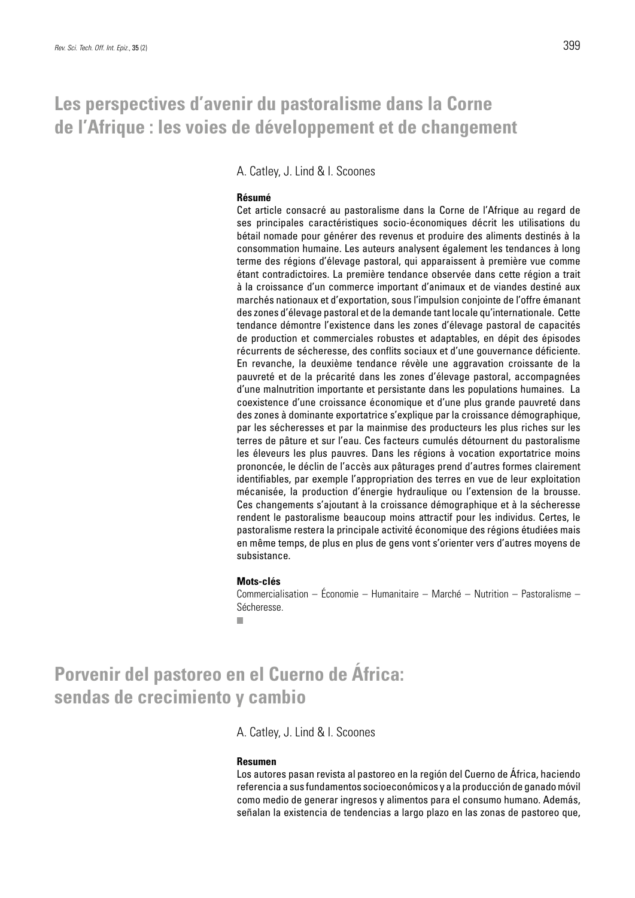A. Catley, J. Lind & I. Scoones

### **Résumé**

Cet article consacré au pastoralisme dans la Corne de l'Afrique au regard de ses principales caractéristiques socio-économiques décrit les utilisations du bétail nomade pour générer des revenus et produire des aliments destinés à la consommation humaine. Les auteurs analysent également les tendances à long terme des régions d'élevage pastoral, qui apparaissent à première vue comme étant contradictoires. La première tendance observée dans cette région a trait à la croissance d'un commerce important d'animaux et de viandes destiné aux marchés nationaux et d'exportation, sous l'impulsion conjointe de l'offre émanant des zones d'élevage pastoral et de la demande tant locale qu'internationale. Cette tendance démontre l'existence dans les zones d'élevage pastoral de capacités de production et commerciales robustes et adaptables, en dépit des épisodes récurrents de sécheresse, des conflits sociaux et d'une gouvernance déficiente. En revanche, la deuxième tendance révèle une aggravation croissante de la pauvreté et de la précarité dans les zones d'élevage pastoral, accompagnées d'une malnutrition importante et persistante dans les populations humaines. La coexistence d'une croissance économique et d'une plus grande pauvreté dans des zones à dominante exportatrice s'explique par la croissance démographique, par les sécheresses et par la mainmise des producteurs les plus riches sur les terres de pâture et sur l'eau. Ces facteurs cumulés détournent du pastoralisme les éleveurs les plus pauvres. Dans les régions à vocation exportatrice moins prononcée, le déclin de l'accès aux pâturages prend d'autres formes clairement identifiables, par exemple l'appropriation des terres en vue de leur exploitation mécanisée, la production d'énergie hydraulique ou l'extension de la brousse. Ces changements s'ajoutant à la croissance démographique et à la sécheresse rendent le pastoralisme beaucoup moins attractif pour les individus. Certes, le pastoralisme restera la principale activité économique des régions étudiées mais en même temps, de plus en plus de gens vont s'orienter vers d'autres moyens de subsistance.

### **Mots-clés**

Commercialisation – Économie – Humanitaire – Marché – Nutrition – Pastoralisme – Sécheresse.

ш

### **Porvenir del pastoreo en el Cuerno de África: sendas de crecimiento y cambio**

A. Catley, J. Lind & I. Scoones

### **Resumen**

Los autores pasan revista al pastoreo en la región del Cuerno de África, haciendo referencia a sus fundamentos socioeconómicos y a la producción de ganado móvil como medio de generar ingresos y alimentos para el consumo humano. Además, señalan la existencia de tendencias a largo plazo en las zonas de pastoreo que,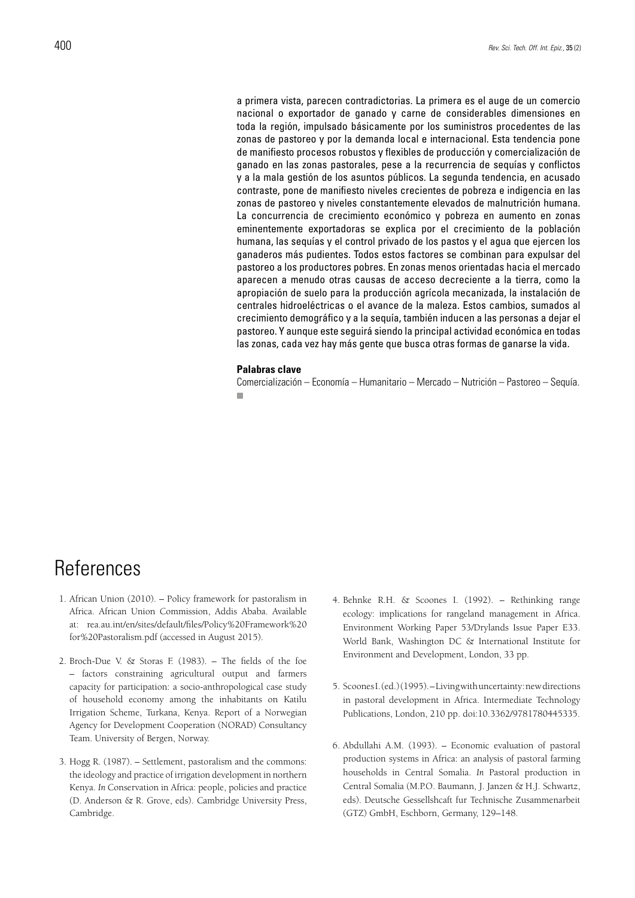a primera vista, parecen contradictorias. La primera es el auge de un comercio nacional o exportador de ganado y carne de considerables dimensiones en toda la región, impulsado básicamente por los suministros procedentes de las zonas de pastoreo y por la demanda local e internacional. Esta tendencia pone de manifiesto procesos robustos y flexibles de producción y comercialización de ganado en las zonas pastorales, pese a la recurrencia de sequías y conflictos y a la mala gestión de los asuntos públicos. La segunda tendencia, en acusado contraste, pone de manifiesto niveles crecientes de pobreza e indigencia en las zonas de pastoreo y niveles constantemente elevados de malnutrición humana. La concurrencia de crecimiento económico y pobreza en aumento en zonas eminentemente exportadoras se explica por el crecimiento de la población humana, las sequías y el control privado de los pastos y el agua que ejercen los ganaderos más pudientes. Todos estos factores se combinan para expulsar del pastoreo a los productores pobres. En zonas menos orientadas hacia el mercado aparecen a menudo otras causas de acceso decreciente a la tierra, como la apropiación de suelo para la producción agrícola mecanizada, la instalación de centrales hidroeléctricas o el avance de la maleza. Estos cambios, sumados al crecimiento demográfico y a la sequía, también inducen a las personas a dejar el pastoreo. Y aunque este seguirá siendo la principal actividad económica en todas las zonas, cada vez hay más gente que busca otras formas de ganarse la vida.

#### **Palabras clave**

Comercialización – Economía – Humanitario – Mercado – Nutrición – Pastoreo – Sequía. $\blacksquare$ 

### References

- 1. African Union (2010). Policy framework for pastoralism in Africa. African Union Commission, Addis Ababa. Available at: rea.au.int/en/sites/default/files/Policy%20Framework%20 for%20Pastoralism.pdf (accessed in August 2015).
- 2. Broch-Due V. & Storas F. (1983). The fields of the foe – factors constraining agricultural output and farmers capacity for participation: a socio-anthropological case study of household economy among the inhabitants on Katilu Irrigation Scheme, Turkana, Kenya. Report of a Norwegian Agency for Development Cooperation (NORAD) Consultancy Team. University of Bergen, Norway.
- 3. Hogg R. (1987). Settlement, pastoralism and the commons: the ideology and practice of irrigation development in northern Kenya. *In* Conservation in Africa: people, policies and practice (D. Anderson & R. Grove, eds). Cambridge University Press, Cambridge.
- 4. Behnke R.H. & Scoones I. (1992). Rethinking range ecology: implications for rangeland management in Africa. Environment Working Paper 53/Drylands Issue Paper E33. World Bank, Washington DC & International Institute for Environment and Development, London, 33 pp.
- 5. Scoones I. (ed.) (1995). Living with uncertainty: new directions in pastoral development in Africa. Intermediate Technology Publications, London, 210 pp. doi:10.3362/9781780445335.
- 6. Abdullahi A.M. (1993). Economic evaluation of pastoral production systems in Africa: an analysis of pastoral farming households in Central Somalia. *In* Pastoral production in Central Somalia (M.P.O. Baumann, J. Janzen & H.J. Schwartz, eds). Deutsche Gessellshcaft fur Technische Zusammenarbeit (GTZ) GmbH, Eschborn, Germany, 129–148.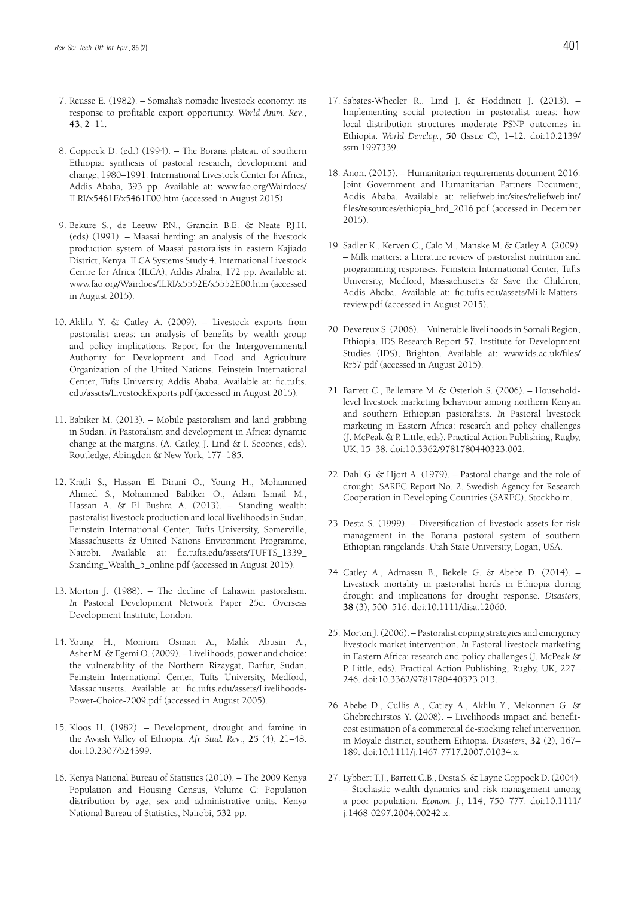- 7. Reusse E. (1982). Somalia's nomadic livestock economy: its response to profitable export opportunity. *World Anim. Rev*., **43**, 2–11.
- 8. Coppock D. (ed.) (1994). The Borana plateau of southern Ethiopia: synthesis of pastoral research, development and change, 1980–1991. International Livestock Center for Africa, Addis Ababa, 393 pp. Available at: www.fao.org/Wairdocs/ ILRI/x5461E/x5461E00.htm (accessed in August 2015).
- 9. Bekure S., de Leeuw P.N., Grandin B.E. & Neate P.J.H. (eds) (1991). – Maasai herding: an analysis of the livestock production system of Maasai pastoralists in eastern Kajiado District, Kenya. ILCA Systems Study 4. International Livestock Centre for Africa (ILCA), Addis Ababa, 172 pp. Available at: www.fao.org/Wairdocs/ILRI/x5552E/x5552E00.htm (accessed in August 2015).
- 10. Aklilu Y. & Catley A. (2009). Livestock exports from pastoralist areas: an analysis of benefits by wealth group and policy implications. Report for the Intergovernmental Authority for Development and Food and Agriculture Organization of the United Nations. Feinstein International Center, Tufts University, Addis Ababa. Available at: fic.tufts. edu/assets/LivestockExports.pdf (accessed in August 2015).
- 11. Babiker M. (2013). Mobile pastoralism and land grabbing in Sudan. *In* Pastoralism and development in Africa: dynamic change at the margins. (A. Catley, J. Lind & I. Scoones, eds). Routledge, Abingdon & New York, 177–185.
- 12. Krätli S., Hassan El Dirani O., Young H., Mohammed Ahmed S., Mohammed Babiker O., Adam Ismail M., Hassan A. & El Bushra A. (2013). – Standing wealth: pastoralist livestock production and local livelihoods in Sudan. Feinstein International Center, Tufts University, Somerville, Massachusetts & United Nations Environment Programme, Nairobi. Available at: fic.tufts.edu/assets/TUFTS\_1339\_ Standing\_Wealth\_5\_online.pdf (accessed in August 2015).
- 13. Morton J. (1988). The decline of Lahawin pastoralism. *In* Pastoral Development Network Paper 25c. Overseas Development Institute, London.
- 14. Young H., Monium Osman A., Malik Abusin A., Asher M. & Egemi O. (2009). – Livelihoods, power and choice: the vulnerability of the Northern Rizaygat, Darfur, Sudan. Feinstein International Center, Tufts University, Medford, Massachusetts. Available at: fic.tufts.edu/assets/Livelihoods-Power-Choice-2009.pdf (accessed in August 2005).
- 15. Kloos H. (1982). Development, drought and famine in the Awash Valley of Ethiopia. *Afr. Stud. Rev*., **25** (4), 21–48. doi:10.2307/524399.
- 16. Kenya National Bureau of Statistics (2010). The 2009 Kenya Population and Housing Census, Volume C: Population distribution by age, sex and administrative units. Kenya National Bureau of Statistics, Nairobi, 532 pp.
- 17. Sabates-Wheeler R., Lind J. & Hoddinott J. (2013). Implementing social protection in pastoralist areas: how local distribution structures moderate PSNP outcomes in Ethiopia. *World Develop.*, **50** (Issue C), 1–12. doi:10.2139/ ssrn.1997339.
- 18. Anon. (2015). Humanitarian requirements document 2016. Joint Government and Humanitarian Partners Document, Addis Ababa. Available at: reliefweb.int/sites/reliefweb.int/ files/resources/ethiopia\_hrd\_2016.pdf (accessed in December 2015).
- 19. Sadler K., Kerven C., Calo M., Manske M. & Catley A. (2009). – Milk matters: a literature review of pastoralist nutrition and programming responses. Feinstein International Center, Tufts University, Medford, Massachusetts & Save the Children, Addis Ababa. Available at: fic.tufts.edu/assets/Milk-Mattersreview.pdf (accessed in August 2015).
- 20. Devereux S. (2006). Vulnerable livelihoods in Somali Region, Ethiopia. IDS Research Report 57. Institute for Development Studies (IDS), Brighton. Available at: www.ids.ac.uk/files/ Rr57.pdf (accessed in August 2015).
- 21. Barrett C., Bellemare M. & Osterloh S. (2006). Householdlevel livestock marketing behaviour among northern Kenyan and southern Ethiopian pastoralists. *In* Pastoral livestock marketing in Eastern Africa: research and policy challenges (J. McPeak & P. Little, eds). Practical Action Publishing, Rugby, UK, 15–38. doi:10.3362/9781780440323.002.
- 22. Dahl G. & Hjort A. (1979). Pastoral change and the role of drought. SAREC Report No. 2. Swedish Agency for Research Cooperation in Developing Countries (SAREC), Stockholm.
- 23. Desta S. (1999). Diversification of livestock assets for risk management in the Borana pastoral system of southern Ethiopian rangelands. Utah State University, Logan, USA.
- 24. Catley A., Admassu B., Bekele G. & Abebe D. (2014). Livestock mortality in pastoralist herds in Ethiopia during drought and implications for drought response. *Disasters*, **38** (3), 500–516. doi:10.1111/disa.12060.
- 25. Morton J. (2006). Pastoralist coping strategies and emergency livestock market intervention. *In* Pastoral livestock marketing in Eastern Africa: research and policy challenges (J. McPeak & P. Little, eds). Practical Action Publishing, Rugby, UK, 227– 246. doi:10.3362/9781780440323.013.
- 26. Abebe D., Cullis A., Catley A., Aklilu Y., Mekonnen G. & Ghebrechirstos Y. (2008). – Livelihoods impact and benefitcost estimation of a commercial de-stocking relief intervention in Moyale district, southern Ethiopia. *Disasters*, **32** (2), 167– 189. doi:10.1111/j.1467-7717.2007.01034.x.
- 27. Lybbert T.J., Barrett C.B., Desta S. & Layne Coppock D. (2004). – Stochastic wealth dynamics and risk management among a poor population. *Econom. J.*, **114**, 750–777. doi:10.1111/ j.1468-0297.2004.00242.x.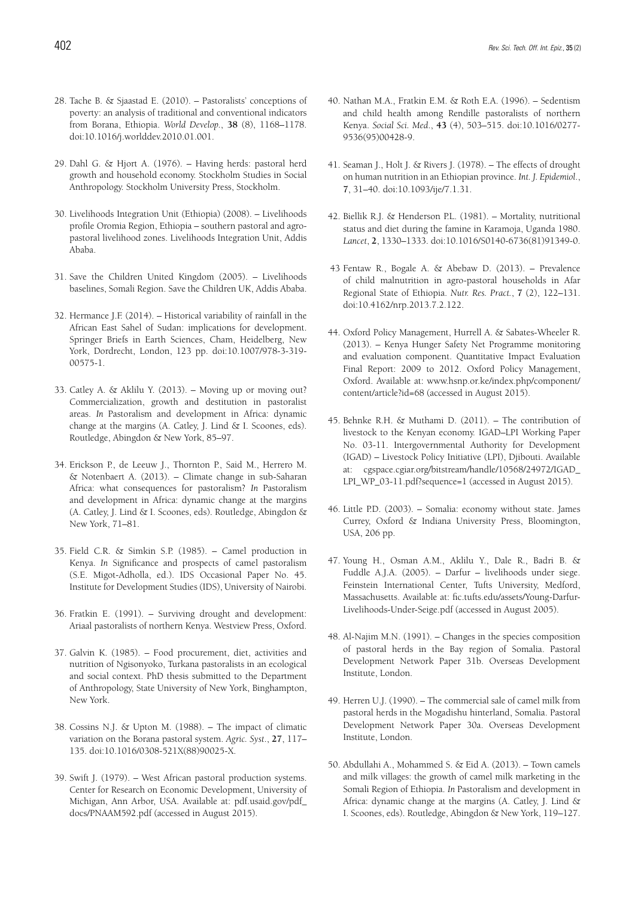- 28. Tache B. & Sjaastad E. (2010). Pastoralists' conceptions of poverty: an analysis of traditional and conventional indicators from Borana, Ethiopia. *World Develop.*, **38** (8), 1168–1178. doi:10.1016/j.worlddev.2010.01.001.
- 29. Dahl G. & Hjort A. (1976). Having herds: pastoral herd growth and household economy. Stockholm Studies in Social Anthropology. Stockholm University Press, Stockholm.
- 30. Livelihoods Integration Unit (Ethiopia) (2008). Livelihoods profile Oromia Region, Ethiopia – southern pastoral and agropastoral livelihood zones. Livelihoods Integration Unit, Addis Ababa.
- 31. Save the Children United Kingdom (2005). Livelihoods baselines, Somali Region. Save the Children UK, Addis Ababa.
- 32. Hermance J.F. (2014). Historical variability of rainfall in the African East Sahel of Sudan: implications for development. Springer Briefs in Earth Sciences, Cham, Heidelberg, New York, Dordrecht, London, 123 pp. doi:10.1007/978-3-319- 00575-1.
- 33. Catley A. & Aklilu Y. (2013). Moving up or moving out? Commercialization, growth and destitution in pastoralist areas. *In* Pastoralism and development in Africa: dynamic change at the margins (A. Catley, J. Lind & I. Scoones, eds). Routledge, Abingdon & New York, 85–97.
- 34. Erickson P., de Leeuw J., Thornton P., Said M., Herrero M. & Notenbaert A. (2013). – Climate change in sub-Saharan Africa: what consequences for pastoralism? *In* Pastoralism and development in Africa: dynamic change at the margins (A. Catley, J. Lind & I. Scoones, eds). Routledge, Abingdon & New York, 71–81.
- 35. Field C.R. & Simkin S.P. (1985). Camel production in Kenya. *In* Significance and prospects of camel pastoralism (S.E. Migot-Adholla, ed.). IDS Occasional Paper No. 45. Institute for Development Studies (IDS), University of Nairobi.
- 36. Fratkin E. (1991). Surviving drought and development: Ariaal pastoralists of northern Kenya. Westview Press, Oxford.
- 37. Galvin K. (1985). Food procurement, diet, activities and nutrition of Ngisonyoko, Turkana pastoralists in an ecological and social context. PhD thesis submitted to the Department of Anthropology, State University of New York, Binghampton, New York.
- 38. Cossins N.J. & Upton M. (1988). The impact of climatic variation on the Borana pastoral system. *Agric. Syst*., **27**, 117– 135. doi:10.1016/0308-521X(88)90025-X.
- 39. Swift J. (1979). West African pastoral production systems. Center for Research on Economic Development, University of Michigan, Ann Arbor, USA. Available at: pdf.usaid.gov/pdf\_ docs/PNAAM592.pdf (accessed in August 2015).
- 40. Nathan M.A., Fratkin E.M. & Roth E.A. (1996). Sedentism and child health among Rendille pastoralists of northern Kenya. *Social Sci. Med*., **43** (4), 503–515. doi:10.1016/0277- 9536(95)00428-9.
- 41. Seaman J., Holt J. & Rivers J. (1978). The effects of drought on human nutrition in an Ethiopian province. *Int. J. Epidemiol*., **7**, 31–40. doi:10.1093/ije/7.1.31.
- 42. Biellik R.J. & Henderson P.L. (1981). Mortality, nutritional status and diet during the famine in Karamoja, Uganda 1980. *Lancet*, **2**, 1330–1333. doi:10.1016/S0140-6736(81)91349-0.
- 43 Fentaw R., Bogale A. & Abebaw D. (2013). Prevalence of child malnutrition in agro-pastoral households in Afar Regional State of Ethiopia. *Nutr. Res. Pract.*, **7** (2), 122–131. doi:10.4162/nrp.2013.7.2.122.
- 44. Oxford Policy Management, Hurrell A. & Sabates-Wheeler R. (2013). – Kenya Hunger Safety Net Programme monitoring and evaluation component. Quantitative Impact Evaluation Final Report: 2009 to 2012. Oxford Policy Management, Oxford. Available at: www.hsnp.or.ke/index.php/component/ content/article?id=68 (accessed in August 2015).
- 45. Behnke R.H. & Muthami D. (2011). The contribution of livestock to the Kenyan economy. IGAD–LPI Working Paper No. 03-11. Intergovernmental Authority for Development (IGAD) – Livestock Policy Initiative (LPI), Djibouti. Available at: cgspace.cgiar.org/bitstream/handle/10568/24972/IGAD\_ LPI\_WP\_03-11.pdf?sequence=1 (accessed in August 2015).
- 46. Little P.D. (2003). Somalia: economy without state. James Currey, Oxford & Indiana University Press, Bloomington, USA, 206 pp.
- 47. Young H., Osman A.M., Aklilu Y., Dale R., Badri B. & Fuddle A.J.A. (2005). – Darfur – livelihoods under siege. Feinstein International Center, Tufts University, Medford, Massachusetts. Available at: fic.tufts.edu/assets/Young-Darfur-Livelihoods-Under-Seige.pdf (accessed in August 2005).
- 48. Al-Najim M.N. (1991). Changes in the species composition of pastoral herds in the Bay region of Somalia. Pastoral Development Network Paper 31b. Overseas Development Institute, London.
- 49. Herren U.J. (1990). The commercial sale of camel milk from pastoral herds in the Mogadishu hinterland, Somalia. Pastoral Development Network Paper 30a. Overseas Development Institute, London.
- 50. Abdullahi A., Mohammed S. & Eid A. (2013). Town camels and milk villages: the growth of camel milk marketing in the Somali Region of Ethiopia. *In* Pastoralism and development in Africa: dynamic change at the margins (A. Catley, J. Lind & I. Scoones, eds). Routledge, Abingdon & New York, 119–127.